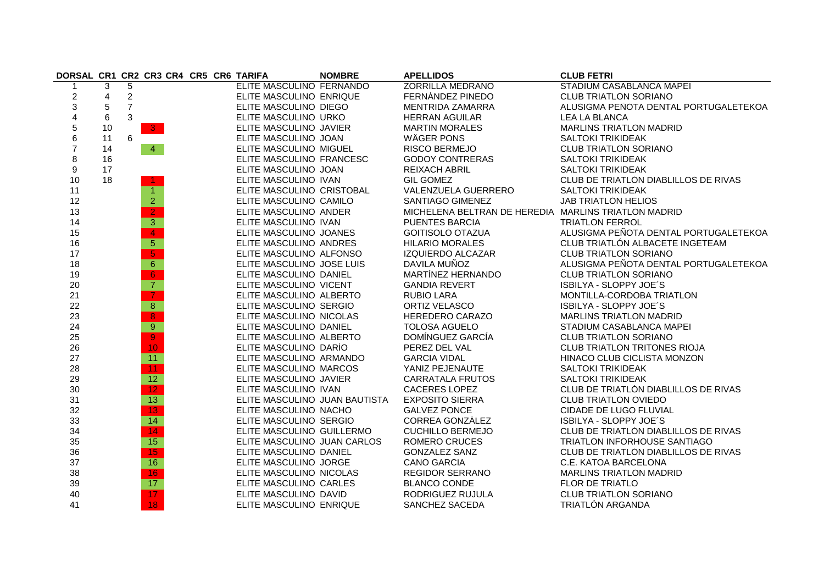| DORSAL CR1 CR2 CR3 CR4 CR5 CR6 TARIFA |    |                |                 |  |                               | <b>NOMBRE</b> | <b>APELLIDOS</b>                                     | <b>CLUB FETRI</b>                     |
|---------------------------------------|----|----------------|-----------------|--|-------------------------------|---------------|------------------------------------------------------|---------------------------------------|
|                                       | 3  | 5              |                 |  | ELITE MASCULINO FERNANDO      |               | <b>ZORRILLA MEDRANO</b>                              | STADIUM CASABLANCA MAPEI              |
| $\boldsymbol{2}$                      | 4  | $\overline{c}$ |                 |  | ELITE MASCULINO ENRIQUE       |               | FERNÁNDEZ PINEDO                                     | <b>CLUB TRIATLON SORIANO</b>          |
| $\mathsf 3$                           | 5  | $\overline{7}$ |                 |  | ELITE MASCULINO DIEGO         |               | MENTRIDA ZAMARRA                                     | ALUSIGMA PEÑOTA DENTAL PORTUGALETEKOA |
| $\overline{\mathbf{4}}$               | 6  | 3              |                 |  | ELITE MASCULINO URKO          |               | <b>HERRAN AGUILAR</b>                                | <b>LEA LA BLANCA</b>                  |
| 5                                     | 10 |                | $-3$            |  | ELITE MASCULINO JAVIER        |               | <b>MARTIN MORALES</b>                                | <b>MARLINS TRIATLON MADRID</b>        |
| 6                                     | 11 | 6              |                 |  | ELITE MASCULINO JOAN          |               | WÄGER PONS                                           | <b>SALTOKI TRIKIDEAK</b>              |
| $\overline{7}$                        | 14 |                | $\overline{4}$  |  | ELITE MASCULINO MIGUEL        |               | <b>RISCO BERMEJO</b>                                 | <b>CLUB TRIATLON SORIANO</b>          |
| 8                                     | 16 |                |                 |  | ELITE MASCULINO FRANCESC      |               | <b>GODOY CONTRERAS</b>                               | <b>SALTOKI TRIKIDEAK</b>              |
| $\boldsymbol{9}$                      | 17 |                |                 |  | ELITE MASCULINO JOAN          |               | <b>REIXACH ABRIL</b>                                 | <b>SALTOKI TRIKIDEAK</b>              |
| 10                                    | 18 |                | -1              |  | ELITE MASCULINO IVAN          |               | <b>GIL GOMEZ</b>                                     | CLUB DE TRIATLÓN DIABLILLOS DE RIVAS  |
| 11                                    |    |                | $\mathbf{1}$    |  | ELITE MASCULINO CRISTOBAL     |               | VALENZUELA GUERRERO                                  | <b>SALTOKI TRIKIDEAK</b>              |
| 12                                    |    |                | $\overline{2}$  |  | ELITE MASCULINO CAMILO        |               | SANTIAGO GIMENEZ                                     | JAB TRIATLÓN HELIOS                   |
| 13                                    |    |                | $\overline{2}$  |  | ELITE MASCULINO ANDER         |               | MICHELENA BELTRAN DE HEREDIA MARLINS TRIATLON MADRID |                                       |
| 14                                    |    |                | 3 <sup>°</sup>  |  | ELITE MASCULINO IVAN          |               | <b>PUENTES BARCIA</b>                                | <b>TRIATLON FERROL</b>                |
| 15                                    |    |                | $\overline{4}$  |  | ELITE MASCULINO JOANES        |               | <b>GOITISOLO OTAZUA</b>                              | ALUSIGMA PEÑOTA DENTAL PORTUGALETEKOA |
| 16                                    |    |                | $\overline{5}$  |  | ELITE MASCULINO ANDRES        |               | <b>HILARIO MORALES</b>                               | CLUB TRIATLÓN ALBACETE INGETEAM       |
| 17                                    |    |                | $\overline{5}$  |  | ELITE MASCULINO ALFONSO       |               | <b>IZQUIERDO ALCAZAR</b>                             | <b>CLUB TRIATLON SORIANO</b>          |
| 18                                    |    |                | $6^{\circ}$     |  | ELITE MASCULINO JOSE LUIS     |               | DAVILA MUÑOZ                                         | ALUSIGMA PEÑOTA DENTAL PORTUGALETEKOA |
| 19                                    |    |                | 6 <sup>1</sup>  |  | ELITE MASCULINO DANIEL        |               | MARTINEZ HERNANDO                                    | <b>CLUB TRIATLON SORIANO</b>          |
| 20                                    |    |                | $\overline{7}$  |  | ELITE MASCULINO VICENT        |               | <b>GANDIA REVERT</b>                                 | ISBILYA - SLOPPY JOE'S                |
| 21                                    |    |                | $\mathbf{7}$    |  | ELITE MASCULINO ALBERTO       |               | <b>RUBIO LARA</b>                                    | MONTILLA-CORDOBA TRIATLON             |
| 22                                    |    |                | 8 <sup>°</sup>  |  | ELITE MASCULINO SERGIO        |               | ORTIZ VELASCO                                        | ISBILYA - SLOPPY JOE'S                |
| 23                                    |    |                | $\overline{8}$  |  | ELITE MASCULINO NICOLAS       |               | HEREDERO CARAZO                                      | <b>MARLINS TRIATLON MADRID</b>        |
| 24                                    |    |                | 9               |  | ELITE MASCULINO DANIEL        |               | <b>TOLOSA AGUELO</b>                                 | STADIUM CASABLANCA MAPEI              |
| 25                                    |    |                | $\overline{9}$  |  | ELITE MASCULINO ALBERTO       |               | DOMINGUEZ GARCIA                                     | <b>CLUB TRIATLON SORIANO</b>          |
| 26                                    |    |                | 10 <sub>1</sub> |  | ELITE MASCULINO DARÍO         |               | PEREZ DEL VAL                                        | <b>CLUB TRIATLON TRITONES RIOJA</b>   |
| 27                                    |    |                | 11              |  | ELITE MASCULINO ARMANDO       |               | <b>GARCIA VIDAL</b>                                  | HINACO CLUB CICLISTA MONZON           |
| 28                                    |    |                | 11 <sub>1</sub> |  | ELITE MASCULINO MARCOS        |               | YANIZ PEJENAUTE                                      | <b>SALTOKI TRIKIDEAK</b>              |
| 29                                    |    |                | 12 <sup>°</sup> |  | ELITE MASCULINO JAVIER        |               | CARRATALA FRUTOS                                     | <b>SALTOKI TRIKIDEAK</b>              |
| 30                                    |    |                | 12 <sub>1</sub> |  | ELITE MASCULINO IVAN          |               | <b>CACERES LOPEZ</b>                                 | CLUB DE TRIATLÓN DIABLILLOS DE RIVAS  |
| 31                                    |    |                | 13 <sup>°</sup> |  | ELITE MASCULINO JUAN BAUTISTA |               | <b>EXPOSITO SIERRA</b>                               | <b>CLUB TRIATLON OVIEDO</b>           |
| 32                                    |    |                | 13 <sup>°</sup> |  | ELITE MASCULINO NACHO         |               | <b>GALVEZ PONCE</b>                                  | CIDADE DE LUGO FLUVIAL                |
| 33                                    |    |                | 14              |  | ELITE MASCULINO SERGIO        |               | <b>CORREA GONZALEZ</b>                               | ISBILYA - SLOPPY JOE'S                |
| 34                                    |    |                | 14 <sub>1</sub> |  | ELITE MASCULINO GUILLERMO     |               | <b>CUCHILLO BERMEJO</b>                              | CLUB DE TRIATLÓN DIABLILLOS DE RIVAS  |
| 35                                    |    |                | 15              |  | ELITE MASCULINO JUAN CARLOS   |               | <b>ROMERO CRUCES</b>                                 | TRIATLON INFORHOUSE SANTIAGO          |
| 36                                    |    |                | 15 <sub>1</sub> |  | ELITE MASCULINO DANIEL        |               | <b>GONZALEZ SANZ</b>                                 | CLUB DE TRIATLÓN DIABLILLOS DE RIVAS  |
| 37                                    |    |                | 16              |  | ELITE MASCULINO JORGE         |               | <b>CANO GARCIA</b>                                   | C.E. KATOA BARCELONA                  |
| 38                                    |    |                | 16 <sub>1</sub> |  | ELITE MASCULINO NICOLÁS       |               | REGIDOR SERRANO                                      | <b>MARLINS TRIATLON MADRID</b>        |
| 39                                    |    |                | 17 <sub>2</sub> |  | ELITE MASCULINO CARLES        |               | <b>BLANCO CONDE</b>                                  | FLOR DE TRIATLO                       |
| 40                                    |    |                | 17              |  | ELITE MASCULINO DAVID         |               | RODRIGUEZ RUJULA                                     | <b>CLUB TRIATLON SORIANO</b>          |
| 41                                    |    |                | 18              |  | ELITE MASCULINO ENRIQUE       |               | SANCHEZ SACEDA                                       | <b>TRIATLÓN ARGANDA</b>               |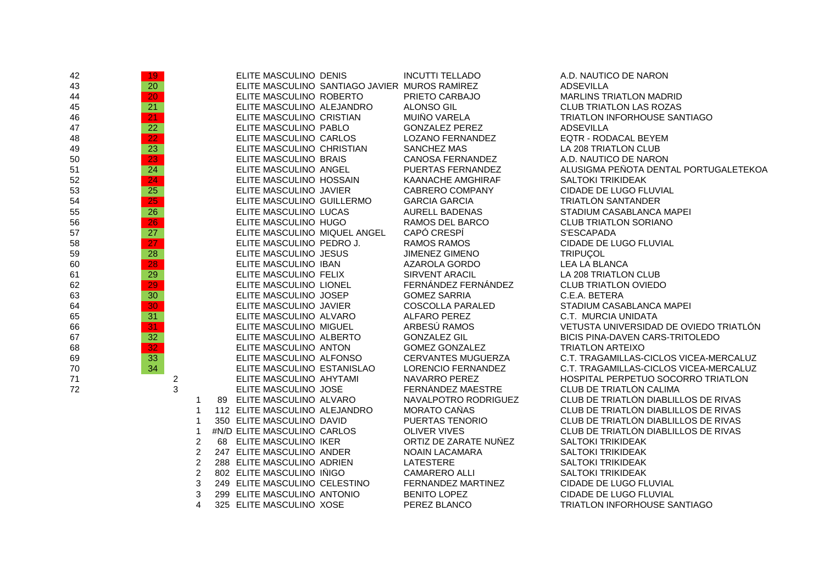| 42 | 19              |   |                | ELITE MASCULINO DENIS         |                                               | <b>INCUTTI TELLADO</b>    | A.D. NAUTICO DE NARON                  |
|----|-----------------|---|----------------|-------------------------------|-----------------------------------------------|---------------------------|----------------------------------------|
| 43 | 20              |   |                |                               | ELITE MASCULINO SANTIAGO JAVIER MUROS RAMÍREZ |                           | <b>ADSEVILLA</b>                       |
| 44 | 20 <sub>1</sub> |   |                | ELITE MASCULINO ROBERTO       |                                               | PRIETO CARBAJO            | <b>MARLINS TRIATLON MADRID</b>         |
| 45 | 21              |   |                | ELITE MASCULINO ALEJANDRO     |                                               | <b>ALONSO GIL</b>         | <b>CLUB TRIATLON LAS ROZAS</b>         |
| 46 | $\overline{21}$ |   |                | ELITE MASCULINO CRISTIAN      |                                               | MUIÑO VARELA              | TRIATLON INFORHOUSE SANTIAGO           |
| 47 | 22              |   |                | ELITE MASCULINO PABLO         |                                               | <b>GONZALEZ PEREZ</b>     | ADSEVILLA                              |
| 48 | $\overline{22}$ |   |                | ELITE MASCULINO CARLOS        |                                               | <b>LOZANO FERNANDEZ</b>   | EQTR - RODACAL BEYEM                   |
| 49 | 23              |   |                | ELITE MASCULINO CHRISTIAN     |                                               | <b>SANCHEZ MAS</b>        | <b>LA 208 TRIATLON CLUB</b>            |
| 50 | $\overline{23}$ |   |                | ELITE MASCULINO BRAIS         |                                               | <b>CANOSA FERNANDEZ</b>   | A.D. NAUTICO DE NARON                  |
| 51 | 24              |   |                | ELITE MASCULINO ANGEL         |                                               | PUERTAS FERNANDEZ         | ALUSIGMA PEÑOTA DENTAL PORTUGALETEKOA  |
| 52 | 24              |   |                | ELITE MASCULINO HOSSAIN       |                                               | KAANACHE AMGHIRAF         | <b>SALTOKI TRIKIDEAK</b>               |
| 53 | 25              |   |                | ELITE MASCULINO JAVIER        |                                               | CABRERO COMPANY           | CIDADE DE LUGO FLUVIAL                 |
| 54 | 25              |   |                | ELITE MASCULINO GUILLERMO     |                                               | <b>GARCIA GARCIA</b>      | TRIATLÓN SANTANDER                     |
| 55 | $\overline{26}$ |   |                | ELITE MASCULINO LUCAS         |                                               | AURELL BADENAS            | STADIUM CASABLANCA MAPEI               |
| 56 | 26              |   |                | ELITE MASCULINO HUGO          |                                               | RAMOS DEL BARCO           | <b>CLUB TRIATLON SORIANO</b>           |
| 57 | 27              |   |                | ELITE MASCULINO MIQUEL ANGEL  |                                               | CAPÓ CRESPI               | S'ESCAPADA                             |
| 58 | 27              |   |                | ELITE MASCULINO PEDRO J.      |                                               | <b>RAMOS RAMOS</b>        | CIDADE DE LUGO FLUVIAL                 |
| 59 | 28              |   |                | ELITE MASCULINO JESUS         |                                               | <b>JIMENEZ GIMENO</b>     | <b>TRIPUCOL</b>                        |
| 60 | $\overline{28}$ |   |                | ELITE MASCULINO IBAN          |                                               | AZAROLA GORDO             | <b>LEA LA BLANCA</b>                   |
| 61 | 29              |   |                | ELITE MASCULINO FELIX         |                                               | <b>SIRVENT ARACIL</b>     | LA 208 TRIATLON CLUB                   |
| 62 | 29              |   |                | ELITE MASCULINO LIONEL        |                                               | FERNÁNDEZ FERNÁNDEZ       | <b>CLUB TRIATLON OVIEDO</b>            |
| 63 | 30 <sup>°</sup> |   |                | ELITE MASCULINO JOSEP         |                                               | <b>GOMEZ SARRIA</b>       | C.E.A. BETERA                          |
| 64 | 30              |   |                | ELITE MASCULINO JAVIER        |                                               | <b>COSCOLLA PARALED</b>   | STADIUM CASABLANCA MAPEI               |
| 65 | 31              |   |                | ELITE MASCULINO ALVARO        |                                               | ALFARO PEREZ              | C.T. MURCIA UNIDATA                    |
| 66 | 31 <sub>1</sub> |   |                | ELITE MASCULINO MIGUEL        |                                               | ARBESU RAMOS              | VETUSTA UNIVERSIDAD DE OVIEDO TRIATLÓN |
| 67 | 32              |   |                | ELITE MASCULINO ALBERTO       |                                               | <b>GONZALEZ GIL</b>       | BICIS PINA-DAVEN CARS-TRITOLEDO        |
| 68 | 32              |   |                | ELITE MASCULINO ANTON         |                                               | <b>GOMEZ GONZALEZ</b>     | <b>TRIATLON ARTEIXO</b>                |
| 69 | $\overline{33}$ |   |                | ELITE MASCULINO ALFONSO       |                                               | <b>CERVANTES MUGUERZA</b> | C.T. TRAGAMILLAS-CICLOS VICEA-MERCALUZ |
| 70 | 34              |   |                | ELITE MASCULINO ESTANISLAO    |                                               | LORENCIO FERNANDEZ        | C.T. TRAGAMILLAS-CICLOS VICEA-MERCALUZ |
| 71 |                 | 2 |                | ELITE MASCULINO AHYTAMI       |                                               | NAVARRO PEREZ             | HOSPITAL PERPETUO SOCORRO TRIATLON     |
| 72 |                 | 3 |                | ELITE MASCULINO JOSÉ          |                                               | FERNÁNDEZ MAESTRE         | CLUB DE TRIATLÓN CALIMA                |
|    |                 |   | -1             | 89 ELITE MASCULINO ALVARO     |                                               | NAVALPOTRO RODRIGUEZ      | CLUB DE TRIATLON DIABLILLOS DE RIVAS   |
|    |                 |   | $\mathbf 1$    | 112 ELITE MASCULINO ALEJANDRO |                                               | MORATO CAÑAS              | CLUB DE TRIATLÓN DIABLILLOS DE RIVAS   |
|    |                 |   | $\mathbf 1$    | 350 ELITE MASCULINO DAVID     |                                               | PUERTAS TENORIO           | CLUB DE TRIATLON DIABLILLOS DE RIVAS   |
|    |                 |   | $\mathbf{1}$   | #N/D ELITE MASCULINO CARLOS   |                                               | <b>OLIVER VIVES</b>       | CLUB DE TRIATLÓN DIABLILLOS DE RIVAS   |
|    |                 |   | 2              | 68 ELITE MASCULINO IKER       |                                               | ORTIZ DE ZARATE NUÑEZ     | <b>SALTOKI TRIKIDEAK</b>               |
|    |                 |   | $\overline{c}$ | 247 ELITE MASCULINO ANDER     |                                               | NOAIN LACAMARA            | <b>SALTOKI TRIKIDEAK</b>               |
|    |                 |   | $\overline{c}$ | 288 ELITE MASCULINO ADRIEN    |                                               | LATESTERE                 | <b>SALTOKI TRIKIDEAK</b>               |
|    |                 |   | $\overline{c}$ | 802 ELITE MASCULINO INIGO     |                                               | <b>CAMARERO ALLI</b>      | <b>SALTOKI TRIKIDEAK</b>               |
|    |                 |   | 3              | 249 ELITE MASCULINO CELESTINO |                                               | FERNANDEZ MARTINEZ        | CIDADE DE LUGO FLUVIAL                 |
|    |                 |   | 3              | 299 ELITE MASCULINO ANTONIO   |                                               | <b>BENITO LOPEZ</b>       | CIDADE DE LUGO FLUVIAL                 |
|    |                 |   | $\overline{4}$ | 325 ELITE MASCULINO XOSE      |                                               | PEREZ BLANCO              | <b>TRIATLON INFORHOUSE SANTIAGO</b>    |
|    |                 |   |                |                               |                                               |                           |                                        |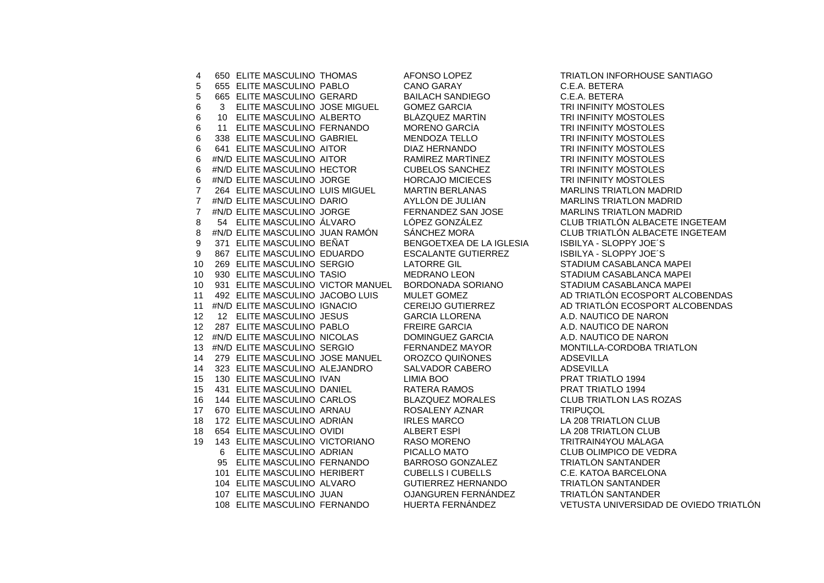650 ELITE MASCULINO THOMAS AFONSO LOPEZ TRIATLON INFORHOUSE SANTIAGO 655 ELITE MASCULINO PABLO CANO GARAY C.E.A. BETERA 665 ELITE MASCULINO GERARD BAILACH SANDIEGO C.E.A. BETERA 3 ELITE MASCULINO JOSE MIGUEL GOMEZ GARCIA TRI INFINITY MÓSTOLES 10 ELITE MASCULINO ALBERTO BLÁZQUEZ MARTÍN TRI INFINITY MÓSTOLES 6 11 ELITE MASCULINO FERNANDO 338 ELITE MASCULINO GABRIEL MENDOZA TELLO TRI INFINITY MÓSTOLES 641 ELITE MASCULINO AITOR DIAZ HERNANDO TRI INFINITY MÓSTOLES 6 #N/D ELITE MASCULINO AITOR #N/D ELITE MASCULINO HECTOR CUBELOS SANCHEZ TRI INFINITY MÓSTOLES #N/D ELITE MASCULINO JORGE HORCAJO MICIECES TRI INFINITY MÓSTOLES 264 ELITE MASCULINO LUIS MIGUEL MARTIN BERLANAS MARLINS TRIATLON MADRID 7 #N/D ELITE MASCULINO DARIO 7 #N/D ELITE MASCULINO JORGE FERNANDEZ SAN JOSE MARLINS TRIATLON MADRID 54 ELITE MASCULINO ÁLVARO LÓPEZ GONZÁLEZ CLUB TRIATLÓN ALBACETE INGETEAM 8 #N/D ELITE MASCULINO JUAN RAMÓN SÁNCHEZ MORA CLUB TRIATLÓN ALBACETE INGETEAM<br>9 371 ELITE MASCULINO BEÑAT BENGOETXEA DE LA IGLESIA ISBILYA - SLOPPY JOE´S 9 371 ELITE MASCULINO BEÑAT BENGOETXEA DE LA IGLESIA 867 ELITE MASCULINO EDUARDO ESCALANTE GUTIERREZ ISBILYA - SLOPPY JOE´S 269 ELITE MASCULINO SERGIO LATORRE GIL STADIUM CASABLANCA MAPEI 930 ELITE MASCULINO TASIO MEDRANO LEON STADIUM CASABLANCA MAPEI 931 ELITE MASCULINO VICTOR MANUEL BORDONADA SORIANO STADIUM CASABLANCA MAPEI 11 492 ELITE MASCULINO JACOBO LUIS MULET GOMEZ AD TRIATLÓN ECOSPORT ALCOBENDAS #N/D ELITE MASCULINO IGNACIO CEREIJO GUTIERREZ AD TRIATLÓN ECOSPORT ALCOBENDAS 12 ELITE MASCULINO JESUS GARCIA LLORENA A.D. NAUTICO DE NARON 287 ELITE MASCULINO PABLO FREIRE GARCIA A.D. NAUTICO DE NARON 12 #N/D ELITE MASCULINO NICOLAS DOMINGUEZ GARCIA A.D. NAUTICO DE NARON #N/D ELITE MASCULINO SERGIO FERNANDEZ MAYOR MONTILLA-CORDOBA TRIATLON 279 ELITE MASCULINO JOSE MANUEL OROZCO QUIÑONES ADSEVILLA 323 ELITE MASCULINO ALEJANDRO SALVADOR CABERO ADSEVILLA 130 ELITE MASCULINO IVAN LIMIA BOO PRAT TRIATLO 1994 431 ELITE MASCULINO DANIEL RATERA RAMOS PRAT TRIATLO 1994 144 ELITE MASCULINO CARLOS BLAZQUEZ MORALES CLUB TRIATLON LAS ROZAS 670 ELITE MASCULINO ARNAU ROSALENY AZNAR TRIPUÇOL 18 172 ELITE MASCULINO ADRIÁN IRLES MARCO LA 208 TRIATLON CLUB 654 ELITE MASCULINO OVIDI ALBERT ESPÍ LA 208 TRIATLON CLUB 143 ELITE MASCULINO VICTORIANO RASO MORENO TRITRAIN4YOU MÁLAGA ELITE MASCULINO ADRIAN PICALLO MATO CLUB OLIMPICO DE VEDRA ELITE MASCULINO FERNANDO BARROSO GONZALEZ TRIATLÓN SANTANDER ELITE MASCULINO HERIBERT CUBELLS I CUBELLS C.E. KATOA BARCELONA ELITE MASCULINO ALVARO GUTIERREZ HERNANDO TRIATLÓN SANTANDER ELITE MASCULINO JUAN OJANGUREN FERNÁNDEZ TRIATLÓN SANTANDER ELITE MASCULINO FERNANDO HUERTA FERNÁNDEZ VETUSTA UNIVERSIDAD DE OVIEDO TRIATLÓN